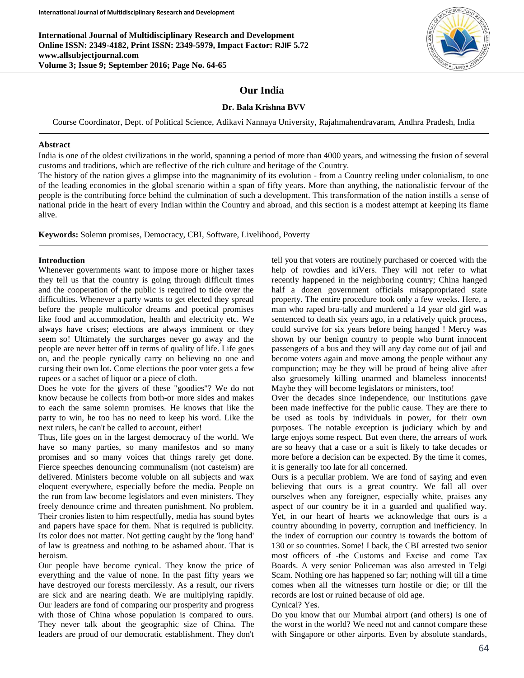**International Journal of Multidisciplinary Research and Development Online ISSN: 2349-4182, Print ISSN: 2349-5979, Impact Factor: RJIF 5.72 www.allsubjectjournal.com Volume 3; Issue 9; September 2016; Page No. 64-65**

# **Our India**

# **Dr. Bala Krishna BVV**

Course Coordinator, Dept. of Political Science, Adikavi Nannaya University, Rajahmahendravaram, Andhra Pradesh, India

#### **Abstract**

India is one of the oldest civilizations in the world, spanning a period of more than 4000 years, and witnessing the fusion of several customs and traditions, which are reflective of the rich culture and heritage of the Country.

The history of the nation gives a glimpse into the magnanimity of its evolution - from a Country reeling under colonialism, to one of the leading economies in the global scenario within a span of fifty years. More than anything, the nationalistic fervour of the people is the contributing force behind the culmination of such a development. This transformation of the nation instills a sense of national pride in the heart of every Indian within the Country and abroad, and this section is a modest attempt at keeping its flame alive.

**Keywords:** Solemn promises, Democracy, CBI, Software, Livelihood, Poverty

## **Introduction**

Whenever governments want to impose more or higher taxes they tell us that the country is going through difficult times and the cooperation of the public is required to tide over the difficulties. Whenever a party wants to get elected they spread before the people multicolor dreams and poetical promises like food and accommodation, health and electricity etc. We always have crises; elections are always imminent or they seem so! Ultimately the surcharges never go away and the people are never better off in terms of quality of life. Life goes on, and the people cynically carry on believing no one and cursing their own lot. Come elections the poor voter gets a few rupees or a sachet of liquor or a piece of cloth.

Does he vote for the givers of these "goodies"? We do not know because he collects from both-or more sides and makes to each the same solemn promises. He knows that like the party to win, he too has no need to keep his word. Like the next rulers, he can't be called to account, either!

Thus, life goes on in the largest democracy of the world. We have so many parties, so many manifestos and so many promises and so many voices that things rarely get done. Fierce speeches denouncing communalism (not casteism) are delivered. Ministers become voluble on all subjects and wax eloquent everywhere, especially before the media. People on the run from law become legislators and even ministers. They freely denounce crime and threaten punishment. No problem. Their cronies listen to him respectfully, media has sound bytes and papers have space for them. Nhat is required is publicity. Its color does not matter. Not getting caught by the 'long hand' of law is greatness and nothing to be ashamed about. That is heroism.

Our people have become cynical. They know the price of everything and the value of none. In the past fifty years we have destroyed our forests mercilessly. As a result, our rivers are sick and are nearing death. We are multiplying rapidly. Our leaders are fond of comparing our prosperity and progress with those of China whose population is compared to ours. They never talk about the geographic size of China. The leaders are proud of our democratic establishment. They don't

tell you that voters are routinely purchased or coerced with the help of rowdies and kiVers. They will not refer to what recently happened in the neighboring country; China hanged half a dozen government officials misappropriated state property. The entire procedure took only a few weeks. Here, a man who raped bru-tally and murdered a 14 year old girl was sentenced to death six years ago, in a relatively quick process, could survive for six years before being hanged ! Mercy was shown by our benign country to people who burnt innocent passengers of a bus and they will any day come out of jail and become voters again and move among the people without any compunction; may be they will be proud of being alive after also gruesomely killing unarmed and blameless innocents! Maybe they will become legislators or ministers, too!

Over the decades since independence, our institutions gave been made ineffective for the public cause. They are there to be used as tools by individuals in power, for their own purposes. The notable exception is judiciary which by and large enjoys some respect. But even there, the arrears of work are so heavy that a case or a suit is likely to take decades or more before a decision can be expected. By the time it comes, it is generally too late for all concerned.

Ours is a peculiar problem. We are fond of saying and even believing that ours is a great country. We fall all over ourselves when any foreigner, especially white, praises any aspect of our country be it in a guarded and qualified way. Yet, in our heart of hearts we acknowledge that ours is a country abounding in poverty, corruption and inefficiency. In the index of corruption our country is towards the bottom of 130 or so countries. Some! I back, the CBI arrested two senior most officers of -the Customs and Excise and come Tax Boards. A very senior Policeman was also arrested in Telgi Scam. Nothing ore has happened so far; nothing will till a time comes when all the witnesses turn hostile or die; or till the records are lost or ruined because of old age. Cynical? Yes.

Do you know that our Mumbai airport (and others) is one of the worst in the world? We need not and cannot compare these with Singapore or other airports. Even by absolute standards,